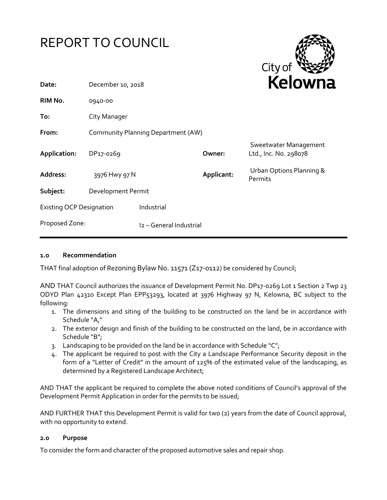|                                 | REPORT TO COUNCIL                  |                         |            | City of                                        |
|---------------------------------|------------------------------------|-------------------------|------------|------------------------------------------------|
| Date:                           | December 10, 2018                  |                         |            | Kelowna                                        |
| RIM No.                         | 0940-00                            |                         |            |                                                |
| To:                             | City Manager                       |                         |            |                                                |
| From:                           | Community Planning Department (AW) |                         |            |                                                |
| Application:                    | DP17-0269                          |                         | Owner:     | Sweetwater Management<br>Ltd., Inc. No. 298078 |
| Address:                        | 3976 Hwy 97 N                      |                         | Applicant: | Urban Options Planning &<br><b>Permits</b>     |
| Subject:                        | Development Permit                 |                         |            |                                                |
| <b>Existing OCP Designation</b> |                                    | Industrial              |            |                                                |
| Proposed Zone:                  |                                    | I2 - General Industrial |            |                                                |

# **1.0 Recommendation**

THAT final adoption of Rezoning Bylaw No. 11571 (Z17-0112) be considered by Council;

AND THAT Council authorizes the issuance of Development Permit No. DP17-0269 Lot 1 Section 2 Twp 23 ODYD Plan 42310 Except Plan EPP53293, located at 3976 Highway 97 N, Kelowna, BC subject to the following:

- 1. The dimensions and siting of the building to be constructed on the land be in accordance with Schedule "A,"
- 2. The exterior design and finish of the building to be constructed on the land, be in accordance with Schedule "B";
- 3. Landscaping to be provided on the land be in accordance with Schedule " $C$ ";
- 4. The applicant be required to post with the City a Landscape Performance Security deposit in the form of a "Letter of Credit" in the amount of 125% of the estimated value of the landscaping, as determined by a Registered Landscape Architect;

AND THAT the applicant be required to complete the above noted conditions of Council's approval of the Development Permit Application in order for the permits to be issued;

AND FURTHER THAT this Development Permit is valid for two (2) years from the date of Council approval, with no opportunity to extend.

# **2.0 Purpose**

To consider the form and character of the proposed automotive sales and repair shop.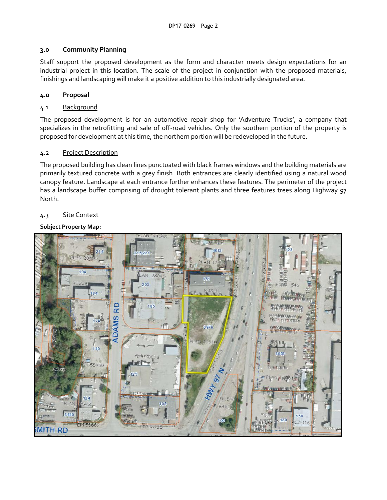## **3.0 Community Planning**

Staff support the proposed development as the form and character meets design expectations for an industrial project in this location. The scale of the project in conjunction with the proposed materials, finishings and landscaping will make it a positive addition to this industrially designated area.

# **4.0 Proposal**

## 4.1 Background

The proposed development is for an automotive repair shop for 'Adventure Trucks', a company that specializes in the retrofitting and sale of off-road vehicles. Only the southern portion of the property is proposed for development at this time, the northern portion will be redeveloped in the future.

### 4.2 Project Description

The proposed building has clean lines punctuated with black frames windows and the building materials are primarily textured concrete with a grey finish. Both entrances are clearly identified using a natural wood canopy feature. Landscape at each entrance further enhances these features. The perimeter of the project has a landscape buffer comprising of drought tolerant plants and three features trees along Highway 97 North.

### 4.3 Site Context

### **Subject Property Map:**